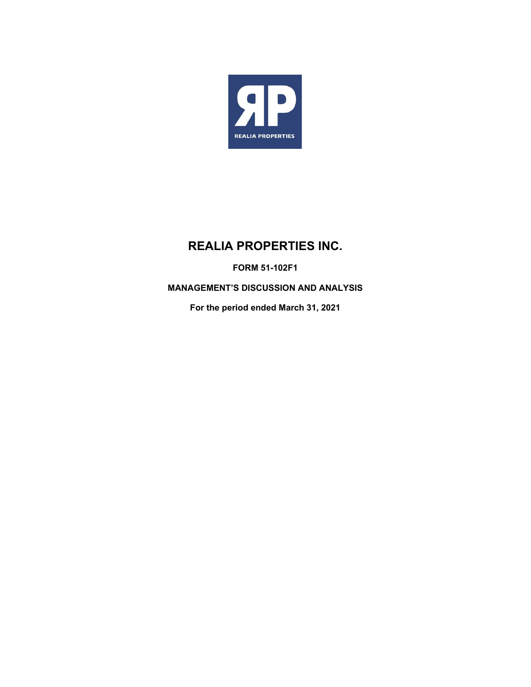

# **REALIA PROPERTIES INC.**

**FORM 51-102F1** 

**MANAGEMENT'S DISCUSSION AND ANALYSIS** 

**For the period ended March 31, 2021**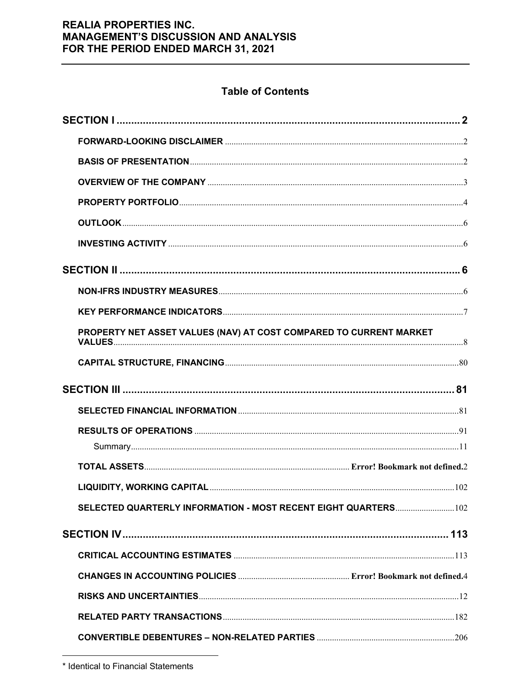# **Table of Contents**

| PROPERTY NET ASSET VALUES (NAV) AT COST COMPARED TO CURRENT MARKET |  |
|--------------------------------------------------------------------|--|
|                                                                    |  |
|                                                                    |  |
|                                                                    |  |
|                                                                    |  |
|                                                                    |  |
|                                                                    |  |
|                                                                    |  |
|                                                                    |  |
| SELECTED QUARTERLY INFORMATION - MOST RECENT EIGHT QUARTERS 102    |  |
|                                                                    |  |
|                                                                    |  |
|                                                                    |  |
|                                                                    |  |
|                                                                    |  |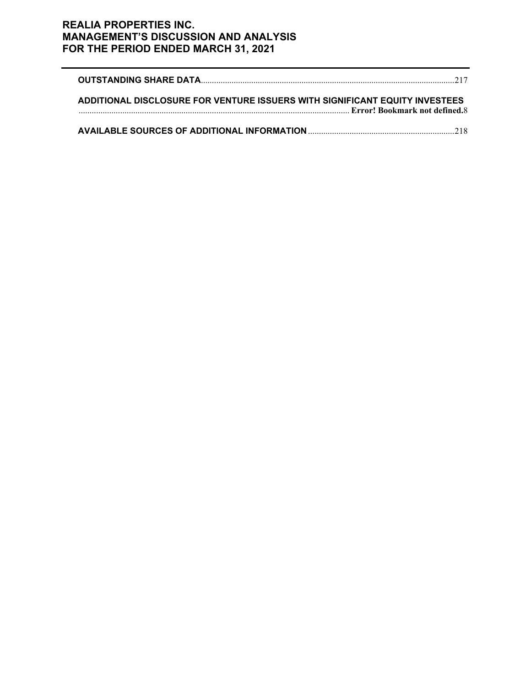| ADDITIONAL DISCLOSURE FOR VENTURE ISSUERS WITH SIGNIFICANT EQUITY INVESTEES<br>Error! Bookmark not defined.8 |  |
|--------------------------------------------------------------------------------------------------------------|--|
|                                                                                                              |  |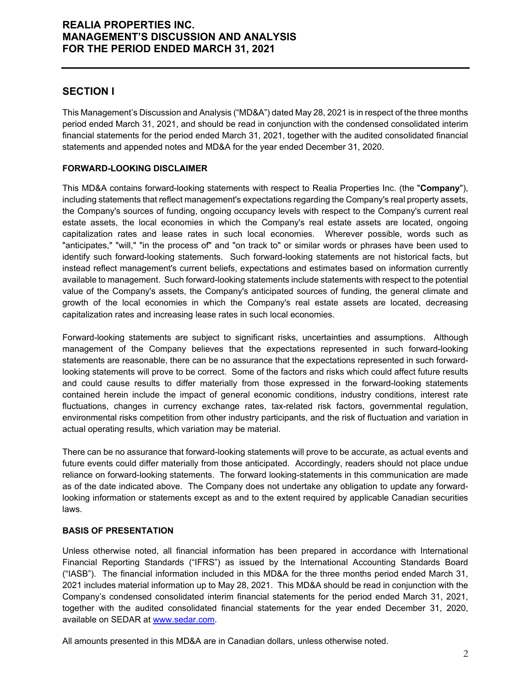### **SECTION I**

This Management's Discussion and Analysis ("MD&A") dated May 28, 2021 is in respect of the three months period ended March 31, 2021, and should be read in conjunction with the condensed consolidated interim financial statements for the period ended March 31, 2021, together with the audited consolidated financial statements and appended notes and MD&A for the year ended December 31, 2020.

#### **FORWARD-LOOKING DISCLAIMER**

This MD&A contains forward-looking statements with respect to Realia Properties Inc. (the "**Company**"), including statements that reflect management's expectations regarding the Company's real property assets, the Company's sources of funding, ongoing occupancy levels with respect to the Company's current real estate assets, the local economies in which the Company's real estate assets are located, ongoing capitalization rates and lease rates in such local economies. Wherever possible, words such as "anticipates," "will," "in the process of" and "on track to" or similar words or phrases have been used to identify such forward-looking statements. Such forward-looking statements are not historical facts, but instead reflect management's current beliefs, expectations and estimates based on information currently available to management. Such forward-looking statements include statements with respect to the potential value of the Company's assets, the Company's anticipated sources of funding, the general climate and growth of the local economies in which the Company's real estate assets are located, decreasing capitalization rates and increasing lease rates in such local economies.

Forward-looking statements are subject to significant risks, uncertainties and assumptions. Although management of the Company believes that the expectations represented in such forward-looking statements are reasonable, there can be no assurance that the expectations represented in such forwardlooking statements will prove to be correct. Some of the factors and risks which could affect future results and could cause results to differ materially from those expressed in the forward-looking statements contained herein include the impact of general economic conditions, industry conditions, interest rate fluctuations, changes in currency exchange rates, tax-related risk factors, governmental regulation, environmental risks competition from other industry participants, and the risk of fluctuation and variation in actual operating results, which variation may be material.

There can be no assurance that forward-looking statements will prove to be accurate, as actual events and future events could differ materially from those anticipated. Accordingly, readers should not place undue reliance on forward-looking statements. The forward looking-statements in this communication are made as of the date indicated above. The Company does not undertake any obligation to update any forwardlooking information or statements except as and to the extent required by applicable Canadian securities laws.

#### **BASIS OF PRESENTATION**

Unless otherwise noted, all financial information has been prepared in accordance with International Financial Reporting Standards ("IFRS") as issued by the International Accounting Standards Board ("IASB"). The financial information included in this MD&A for the three months period ended March 31, 2021 includes material information up to May 28, 2021. This MD&A should be read in conjunction with the Company's condensed consolidated interim financial statements for the period ended March 31, 2021, together with the audited consolidated financial statements for the year ended December 31, 2020, available on SEDAR at www.sedar.com.

All amounts presented in this MD&A are in Canadian dollars, unless otherwise noted.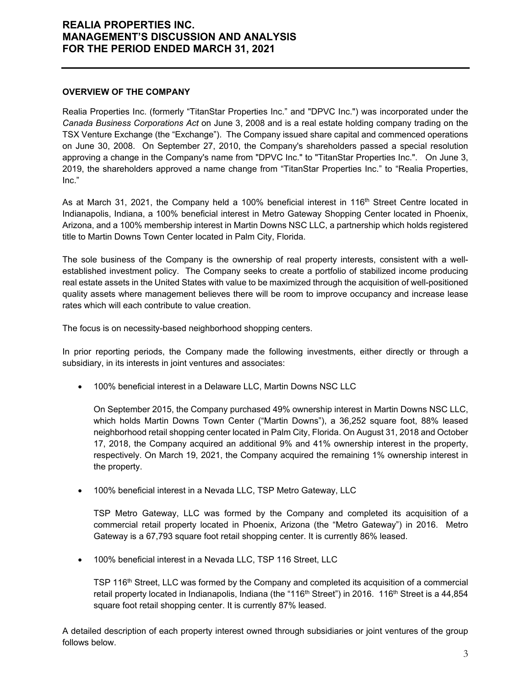#### **OVERVIEW OF THE COMPANY**

Realia Properties Inc. (formerly "TitanStar Properties Inc." and "DPVC Inc.") was incorporated under the *Canada Business Corporations Act* on June 3, 2008 and is a real estate holding company trading on the TSX Venture Exchange (the "Exchange"). The Company issued share capital and commenced operations on June 30, 2008. On September 27, 2010, the Company's shareholders passed a special resolution approving a change in the Company's name from "DPVC Inc." to "TitanStar Properties Inc.". On June 3, 2019, the shareholders approved a name change from "TitanStar Properties Inc." to "Realia Properties, Inc."

As at March 31, 2021, the Company held a 100% beneficial interest in 116<sup>th</sup> Street Centre located in Indianapolis, Indiana, a 100% beneficial interest in Metro Gateway Shopping Center located in Phoenix, Arizona, and a 100% membership interest in Martin Downs NSC LLC, a partnership which holds registered title to Martin Downs Town Center located in Palm City, Florida.

The sole business of the Company is the ownership of real property interests, consistent with a wellestablished investment policy. The Company seeks to create a portfolio of stabilized income producing real estate assets in the United States with value to be maximized through the acquisition of well-positioned quality assets where management believes there will be room to improve occupancy and increase lease rates which will each contribute to value creation.

The focus is on necessity-based neighborhood shopping centers.

In prior reporting periods, the Company made the following investments, either directly or through a subsidiary, in its interests in joint ventures and associates:

100% beneficial interest in a Delaware LLC, Martin Downs NSC LLC

On September 2015, the Company purchased 49% ownership interest in Martin Downs NSC LLC, which holds Martin Downs Town Center ("Martin Downs"), a 36,252 square foot, 88% leased neighborhood retail shopping center located in Palm City, Florida. On August 31, 2018 and October 17, 2018, the Company acquired an additional 9% and 41% ownership interest in the property, respectively. On March 19, 2021, the Company acquired the remaining 1% ownership interest in the property.

100% beneficial interest in a Nevada LLC, TSP Metro Gateway, LLC

TSP Metro Gateway, LLC was formed by the Company and completed its acquisition of a commercial retail property located in Phoenix, Arizona (the "Metro Gateway") in 2016. Metro Gateway is a 67,793 square foot retail shopping center. It is currently 86% leased.

• 100% beneficial interest in a Nevada LLC, TSP 116 Street, LLC

TSP 116<sup>th</sup> Street, LLC was formed by the Company and completed its acquisition of a commercial retail property located in Indianapolis, Indiana (the "116<sup>th</sup> Street") in 2016. 116<sup>th</sup> Street is a 44,854 square foot retail shopping center. It is currently 87% leased.

A detailed description of each property interest owned through subsidiaries or joint ventures of the group follows below.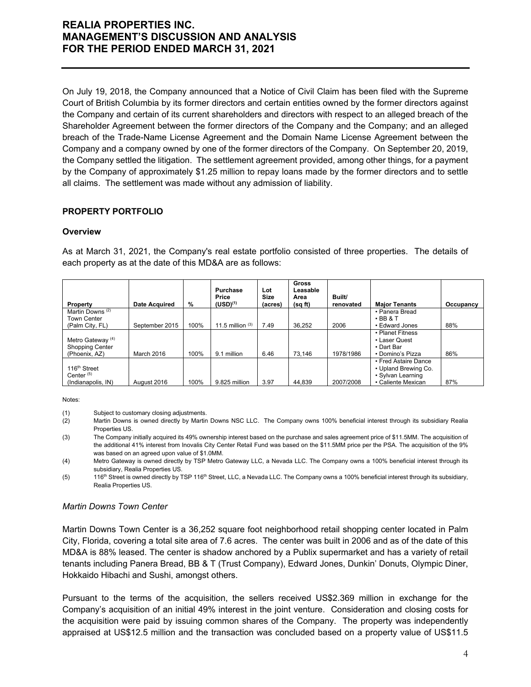On July 19, 2018, the Company announced that a Notice of Civil Claim has been filed with the Supreme Court of British Columbia by its former directors and certain entities owned by the former directors against the Company and certain of its current shareholders and directors with respect to an alleged breach of the Shareholder Agreement between the former directors of the Company and the Company; and an alleged breach of the Trade-Name License Agreement and the Domain Name License Agreement between the Company and a company owned by one of the former directors of the Company. On September 20, 2019, the Company settled the litigation. The settlement agreement provided, among other things, for a payment by the Company of approximately \$1.25 million to repay loans made by the former directors and to settle all claims. The settlement was made without any admission of liability.

### **PROPERTY PORTFOLIO**

#### **Overview**

As at March 31, 2021, the Company's real estate portfolio consisted of three properties. The details of each property as at the date of this MD&A are as follows:

| Property                     | <b>Date Acquired</b> | %    | Purchase<br>Price<br>$(USD)^{(1)}$ | Lot<br><b>Size</b><br>(acres) | Gross<br>Leasable<br>Area<br>(sq ft) | Built/<br>renovated | <b>Major Tenants</b> | Occupancy |
|------------------------------|----------------------|------|------------------------------------|-------------------------------|--------------------------------------|---------------------|----------------------|-----------|
| Martin Downs <sup>(2)</sup>  |                      |      |                                    |                               |                                      |                     | • Panera Bread       |           |
| Town Center                  |                      |      |                                    |                               |                                      |                     | $\cdot$ BB & T       |           |
| (Palm City, FL)              | September 2015       | 100% | 11.5 million $(3)$                 | 7.49                          | 36.252                               | 2006                | • Edward Jones       | 88%       |
|                              |                      |      |                                    |                               |                                      |                     | • Planet Fitness     |           |
| Metro Gateway <sup>(4)</sup> |                      |      |                                    |                               |                                      |                     | • Laser Quest        |           |
| <b>Shopping Center</b>       |                      |      |                                    |                               |                                      |                     | • Dart Bar           |           |
| (Phoenix, AZ)                | March 2016           | 100% | 9.1 million                        | 6.46                          | 73.146                               | 1978/1986           | • Domino's Pizza     | 86%       |
|                              |                      |      |                                    |                               |                                      |                     | • Fred Astaire Dance |           |
| 116 <sup>th</sup> Street     |                      |      |                                    |                               |                                      |                     | • Upland Brewing Co. |           |
| Center $(5)$                 |                      |      |                                    |                               |                                      |                     | • Sylvan Learning    |           |
| (Indianapolis, IN)           | August 2016          | 100% | 9.825 million                      | 3.97                          | 44.839                               | 2007/2008           | • Caliente Mexican   | 87%       |

Notes:

(1) Subject to customary closing adjustments.

- (2) Martin Downs is owned directly by Martin Downs NSC LLC. The Company owns 100% beneficial interest through its subsidiary Realia Properties US.
- (3) The Company initially acquired its 49% ownership interest based on the purchase and sales agreement price of \$11.5MM. The acquisition of the additional 41% interest from Inovalis City Center Retail Fund was based on the \$11.5MM price per the PSA. The acquisition of the 9% was based on an agreed upon value of \$1.0MM.

(4) Metro Gateway is owned directly by TSP Metro Gateway LLC, a Nevada LLC. The Company owns a 100% beneficial interest through its subsidiary, Realia Properties US.

(5) 116<sup>th</sup> Street is owned directly by TSP 116<sup>th</sup> Street, LLC, a Nevada LLC. The Company owns a 100% beneficial interest through its subsidiary, Realia Properties US.

#### *Martin Downs Town Center*

Martin Downs Town Center is a 36,252 square foot neighborhood retail shopping center located in Palm City, Florida, covering a total site area of 7.6 acres. The center was built in 2006 and as of the date of this MD&A is 88% leased. The center is shadow anchored by a Publix supermarket and has a variety of retail tenants including Panera Bread, BB & T (Trust Company), Edward Jones, Dunkin' Donuts, Olympic Diner, Hokkaido Hibachi and Sushi, amongst others.

Pursuant to the terms of the acquisition, the sellers received US\$2.369 million in exchange for the Company's acquisition of an initial 49% interest in the joint venture. Consideration and closing costs for the acquisition were paid by issuing common shares of the Company. The property was independently appraised at US\$12.5 million and the transaction was concluded based on a property value of US\$11.5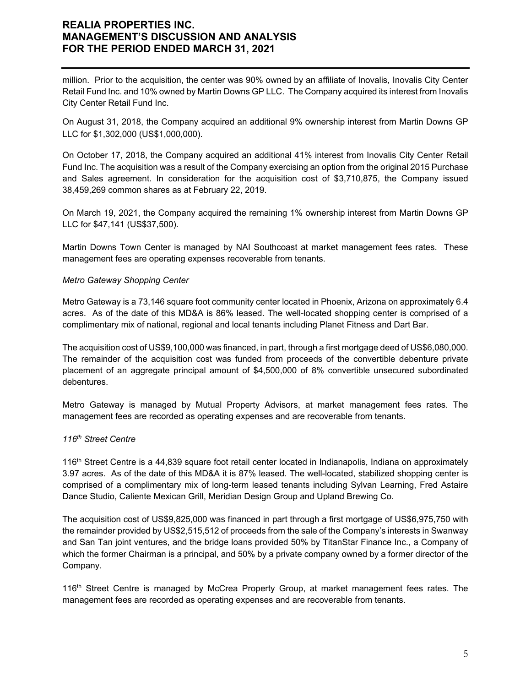million. Prior to the acquisition, the center was 90% owned by an affiliate of Inovalis, Inovalis City Center Retail Fund Inc. and 10% owned by Martin Downs GP LLC. The Company acquired its interest from Inovalis City Center Retail Fund Inc.

On August 31, 2018, the Company acquired an additional 9% ownership interest from Martin Downs GP LLC for \$1,302,000 (US\$1,000,000).

On October 17, 2018, the Company acquired an additional 41% interest from Inovalis City Center Retail Fund Inc. The acquisition was a result of the Company exercising an option from the original 2015 Purchase and Sales agreement. In consideration for the acquisition cost of \$3,710,875, the Company issued 38,459,269 common shares as at February 22, 2019.

On March 19, 2021, the Company acquired the remaining 1% ownership interest from Martin Downs GP LLC for \$47,141 (US\$37,500).

Martin Downs Town Center is managed by NAI Southcoast at market management fees rates. These management fees are operating expenses recoverable from tenants.

#### *Metro Gateway Shopping Center*

Metro Gateway is a 73,146 square foot community center located in Phoenix, Arizona on approximately 6.4 acres. As of the date of this MD&A is 86% leased. The well-located shopping center is comprised of a complimentary mix of national, regional and local tenants including Planet Fitness and Dart Bar.

The acquisition cost of US\$9,100,000 was financed, in part, through a first mortgage deed of US\$6,080,000. The remainder of the acquisition cost was funded from proceeds of the convertible debenture private placement of an aggregate principal amount of \$4,500,000 of 8% convertible unsecured subordinated debentures.

Metro Gateway is managed by Mutual Property Advisors, at market management fees rates. The management fees are recorded as operating expenses and are recoverable from tenants.

#### *116th Street Centre*

116th Street Centre is a 44,839 square foot retail center located in Indianapolis, Indiana on approximately 3.97 acres. As of the date of this MD&A it is 87% leased. The well-located, stabilized shopping center is comprised of a complimentary mix of long-term leased tenants including Sylvan Learning, Fred Astaire Dance Studio, Caliente Mexican Grill, Meridian Design Group and Upland Brewing Co.

The acquisition cost of US\$9,825,000 was financed in part through a first mortgage of US\$6,975,750 with the remainder provided by US\$2,515,512 of proceeds from the sale of the Company's interests in Swanway and San Tan joint ventures, and the bridge loans provided 50% by TitanStar Finance Inc., a Company of which the former Chairman is a principal, and 50% by a private company owned by a former director of the Company.

116<sup>th</sup> Street Centre is managed by McCrea Property Group, at market management fees rates. The management fees are recorded as operating expenses and are recoverable from tenants.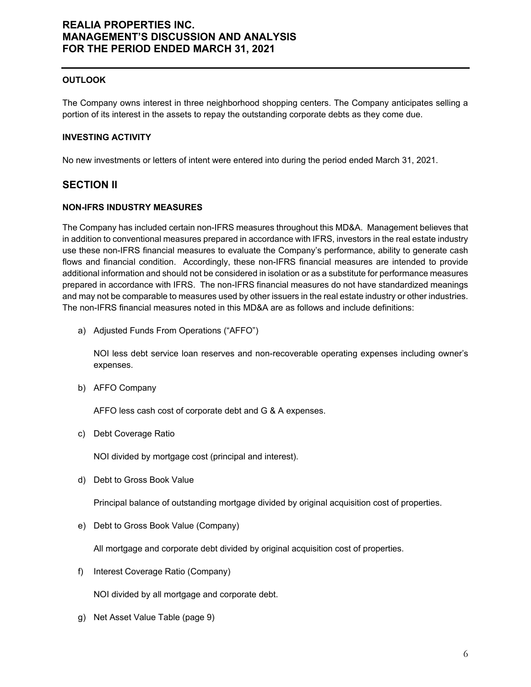#### **OUTLOOK**

The Company owns interest in three neighborhood shopping centers. The Company anticipates selling a portion of its interest in the assets to repay the outstanding corporate debts as they come due.

#### **INVESTING ACTIVITY**

No new investments or letters of intent were entered into during the period ended March 31, 2021.

### **SECTION II**

#### **NON-IFRS INDUSTRY MEASURES**

The Company has included certain non-IFRS measures throughout this MD&A. Management believes that in addition to conventional measures prepared in accordance with IFRS, investors in the real estate industry use these non-IFRS financial measures to evaluate the Company's performance, ability to generate cash flows and financial condition. Accordingly, these non-IFRS financial measures are intended to provide additional information and should not be considered in isolation or as a substitute for performance measures prepared in accordance with IFRS. The non-IFRS financial measures do not have standardized meanings and may not be comparable to measures used by other issuers in the real estate industry or other industries. The non-IFRS financial measures noted in this MD&A are as follows and include definitions:

a) Adjusted Funds From Operations ("AFFO")

NOI less debt service loan reserves and non-recoverable operating expenses including owner's expenses.

b) AFFO Company

AFFO less cash cost of corporate debt and G & A expenses.

c) Debt Coverage Ratio

NOI divided by mortgage cost (principal and interest).

d) Debt to Gross Book Value

Principal balance of outstanding mortgage divided by original acquisition cost of properties.

e) Debt to Gross Book Value (Company)

All mortgage and corporate debt divided by original acquisition cost of properties.

f) Interest Coverage Ratio (Company)

NOI divided by all mortgage and corporate debt.

g) Net Asset Value Table (page 9)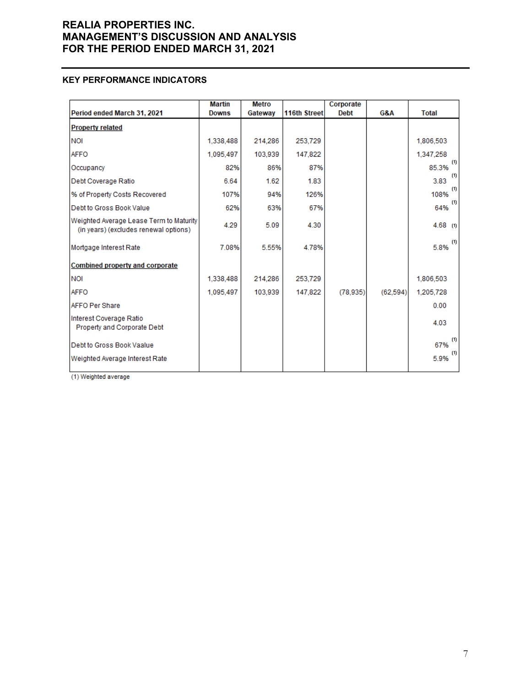#### **KEY PERFORMANCE INDICATORS**

|                                                                                  | <b>Martin</b> | <b>Metro</b> |              | Corporate   |          |              |
|----------------------------------------------------------------------------------|---------------|--------------|--------------|-------------|----------|--------------|
| Period ended March 31, 2021                                                      | <b>Downs</b>  | Gateway      | 116th Street | <b>Debt</b> | G&A      | Total        |
| <b>Property related</b>                                                          |               |              |              |             |          |              |
| <b>NOI</b>                                                                       | 1,338,488     | 214,286      | 253,729      |             |          | 1,806,503    |
| <b>AFFO</b>                                                                      | 1,095,497     | 103.939      | 147,822      |             |          | 1,347,258    |
| Occupancy                                                                        | 82%           | 86%          | 87%          |             |          | (1)<br>85.3% |
| Debt Coverage Ratio                                                              | 6.64          | 1.62         | 1.83         |             |          | (1)<br>3.83  |
| % of Property Costs Recovered                                                    | 107%          | 94%          | 126%         |             |          | (1)<br>108%  |
| Debt to Gross Book Value                                                         | 62%           | 63%          | 67%          |             |          | (1)<br>64%   |
| Weighted Average Lease Term to Maturity<br>(in years) (excludes renewal options) | 4.29          | 5.09         | 4.30         |             |          | $4.68$ (1)   |
| Mortgage Interest Rate                                                           | 7.08%         | 5.55%        | 4.78%        |             |          | (1)<br>5.8%  |
| <b>Combined property and corporate</b>                                           |               |              |              |             |          |              |
| <b>NOI</b>                                                                       | 1,338,488     | 214,286      | 253,729      |             |          | 1,806,503    |
| <b>AFFO</b>                                                                      | 1,095,497     | 103,939      | 147,822      | (78.935)    | (62.594) | 1.205.728    |
| <b>AFFO Per Share</b>                                                            |               |              |              |             |          | 0.00         |
| Interest Coverage Ratio<br>Property and Corporate Debt                           |               |              |              |             |          | 4.03         |
| Debt to Gross Book Vaalue                                                        |               |              |              |             |          | (1)<br>67%   |
| Weighted Average Interest Rate                                                   |               |              |              |             |          | (1)<br>5.9%  |

(1) Weighted average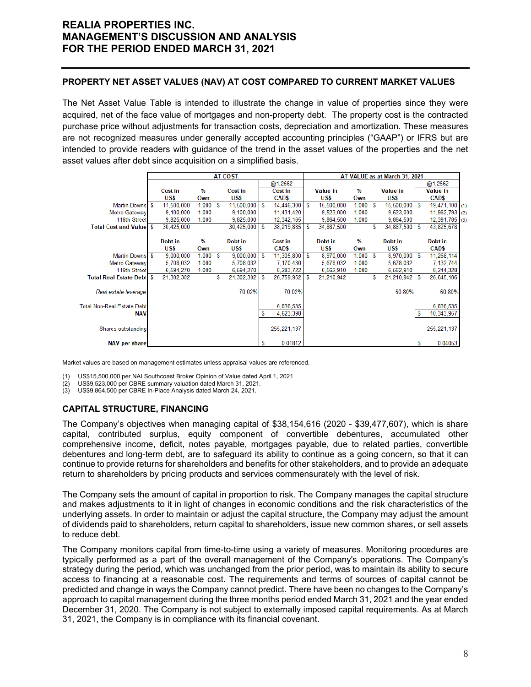#### **PROPERTY NET ASSET VALUES (NAV) AT COST COMPARED TO CURRENT MARKET VALUES**

The Net Asset Value Table is intended to illustrate the change in value of properties since they were acquired, net of the face value of mortgages and non-property debt. The property cost is the contracted purchase price without adjustments for transaction costs, depreciation and amortization. These measures are not recognized measures under generally accepted accounting principles ("GAAP") or IFRS but are intended to provide readers with guidance of the trend in the asset values of the properties and the net asset values after debt since acquisition on a simplified basis.

|                                   | <b>AT COST</b> |                |         |    | AT VALUE as at March 31, 2021 |   |               |   |                 |       |   |                 |     |                  |  |
|-----------------------------------|----------------|----------------|---------|----|-------------------------------|---|---------------|---|-----------------|-------|---|-----------------|-----|------------------|--|
|                                   |                |                |         |    |                               |   | @1.2562       |   |                 |       |   |                 |     | @1.2562          |  |
|                                   |                | <b>Cost in</b> | $\%$    |    | Cost in                       |   | Cost in       |   | <b>Value in</b> | %     |   | <b>Value in</b> |     | <b>Value in</b>  |  |
|                                   |                | US\$           | Own     |    | US\$                          |   | CAD\$         |   | US\$            | Own   |   | US\$            |     | <b>CAD\$</b>     |  |
| Martin Downs \$                   |                | 11,500,000     | 1.000 S |    | 11,500,000                    | S | 14,446,300    | S | 15,500,000      | 1.000 | S | 15,500,000      | l S | 19,471,100 (1)   |  |
| Metro Gateway                     |                | 9.100.000      | 1.000   |    | 9,100,000                     |   | 11,431,420    |   | 9.523.000       | 1.000 |   | 9,523,000       |     | $11,962,793$ (2) |  |
| 116th Street                      |                | 9,825,000      | 1.000   |    | 9,825,000                     |   | 12,342,165    |   | 9,864,500       | 1.000 |   | 9,864,500       |     | $12,391,785$ (3) |  |
| <b>Total Cost and Valuel \$</b>   |                | 30,425,000     |         |    | 30,425,000                    | S | 38,219,885    | S | 34,887,500      |       | S | 34,887,500      | -S  | 43,825,678       |  |
|                                   |                |                |         |    |                               |   |               |   |                 |       |   |                 |     |                  |  |
|                                   |                | Debt in        | $\%$    |    | Debt in                       |   | Cost in       |   | Debt in         | %     |   | Debt in         |     | Debt in          |  |
|                                   |                | US\$           | Own     |    | US\$                          |   | <b>CAD\$</b>  |   | US\$            | Own   |   | US\$            |     | <b>CAD\$</b>     |  |
| Martin Downs \$                   |                | 9,000,000      | 1.000   | -S | 9,000,000                     | S | 11,305,800    | S | 8,970,000       | 1.000 | S | 8,970,000       | l S | 11,268,114       |  |
| Metro Gateway                     |                | 5,708,032      | 1.000   |    | 5,708,032                     |   | 7,170,430     |   | 5,678,032       | 1.000 |   | 5,678,032       |     | 7,132,744        |  |
| 116th Street                      |                | 6,594,270      | 1.000   |    | 6,594,270                     |   | 8,283,722     |   | 6.562.910       | 1.000 |   | 6,562,910       |     | 8,244,328        |  |
| <b>Total Real Estate Debtl \$</b> |                | 21,302,302     |         | S  | 21,302,302                    | S | 26,759,952    | s | 21,210,942      |       | s | 21,210,942      | ∣\$ | 26,645,186       |  |
|                                   |                |                |         |    |                               |   |               |   |                 |       |   |                 |     |                  |  |
| Real estate leverage              |                |                |         |    | 70.02%                        |   | 70.02%        |   |                 |       |   | 60.80%          |     | 60.80%           |  |
|                                   |                |                |         |    |                               |   |               |   |                 |       |   |                 |     |                  |  |
| <b>Total Non-Real Estate Debt</b> |                |                |         |    |                               |   | 6,836,535     |   |                 |       |   |                 |     | 6,836,535        |  |
| <b>NAV</b>                        |                |                |         |    |                               | S | 4,623,398     |   |                 |       |   |                 |     | 10,343,957       |  |
|                                   |                |                |         |    |                               |   |               |   |                 |       |   |                 |     |                  |  |
| Shares outstanding                |                |                |         |    |                               |   | 255, 221, 137 |   |                 |       |   |                 |     | 255, 221, 137    |  |
|                                   |                |                |         |    |                               |   |               |   |                 |       |   |                 |     |                  |  |
| <b>NAV per share</b>              |                |                |         |    |                               | s | 0.01812       |   |                 |       |   |                 | s   | 0.04053          |  |

Market values are based on management estimates unless appraisal values are referenced.

(1) US\$15,500,000 per NAI Southcoast Broker Opinion of Value dated April 1, 2021

(2) US\$9,523,000 per CBRE summary valuation dated March 31, 2021.

(3) US\$9,864,500 per CBRE In-Place Analysis dated March 24, 2021.

#### **CAPITAL STRUCTURE, FINANCING**

The Company's objectives when managing capital of \$38,154,616 (2020 - \$39,477,607), which is share capital, contributed surplus, equity component of convertible debentures, accumulated other comprehensive income, deficit, notes payable, mortgages payable, due to related parties, convertible debentures and long-term debt, are to safeguard its ability to continue as a going concern, so that it can continue to provide returns for shareholders and benefits for other stakeholders, and to provide an adequate return to shareholders by pricing products and services commensurately with the level of risk.

The Company sets the amount of capital in proportion to risk. The Company manages the capital structure and makes adjustments to it in light of changes in economic conditions and the risk characteristics of the underlying assets. In order to maintain or adjust the capital structure, the Company may adjust the amount of dividends paid to shareholders, return capital to shareholders, issue new common shares, or sell assets to reduce debt.

The Company monitors capital from time-to-time using a variety of measures. Monitoring procedures are typically performed as a part of the overall management of the Company's operations. The Company's strategy during the period, which was unchanged from the prior period, was to maintain its ability to secure access to financing at a reasonable cost. The requirements and terms of sources of capital cannot be predicted and change in ways the Company cannot predict. There have been no changes to the Company's approach to capital management during the three months period ended March 31, 2021 and the year ended December 31, 2020. The Company is not subject to externally imposed capital requirements. As at March 31, 2021, the Company is in compliance with its financial covenant.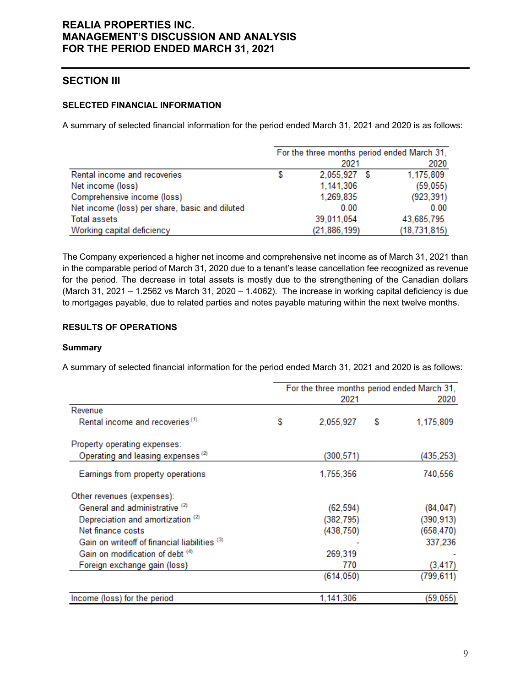# **SECTION III**

### **SELECTED FINANCIAL INFORMATION**

A summary of selected financial information for the period ended March 31, 2021 and 2020 is as follows:

|                                                | For the three months period ended March 31, |                |  |                |  |  |
|------------------------------------------------|---------------------------------------------|----------------|--|----------------|--|--|
|                                                |                                             | 2021           |  | 2020           |  |  |
| Rental income and recoveries                   |                                             | 2,055,927 \$   |  | 1,175,809      |  |  |
| Net income (loss)                              |                                             | 1,141,306      |  | (59,055)       |  |  |
| Comprehensive income (loss)                    |                                             | 1,269,835      |  | (923, 391)     |  |  |
| Net income (loss) per share, basic and diluted |                                             | 0.00           |  | 0.00           |  |  |
| <b>Total assets</b>                            |                                             | 39,011,054     |  | 43,685,795     |  |  |
| Working capital deficiency                     |                                             | (21, 886, 199) |  | (18, 731, 815) |  |  |

The Company experienced a higher net income and comprehensive net income as of March 31, 2021 than in the comparable period of March 31, 2020 due to a tenant's lease cancellation fee recognized as revenue for the period. The decrease in total assets is mostly due to the strengthening of the Canadian dollars (March 31, 2021 – 1.2562 vs March 31, 2020 – 1.4062). The increase in working capital deficiency is due to mortgages payable, due to related parties and notes payable maturing within the next twelve months.

### **RESULTS OF OPERATIONS**

#### **Summary**

A summary of selected financial information for the period ended March 31, 2021 and 2020 is as follows:

|                                               | For the three months period ended March 31,<br>2021 |            |   |            |  |  |  |
|-----------------------------------------------|-----------------------------------------------------|------------|---|------------|--|--|--|
| Revenue                                       |                                                     |            |   |            |  |  |  |
| Rental income and recoveries <sup>(1)</sup>   | \$                                                  | 2,055,927  | S | 1,175,809  |  |  |  |
| Property operating expenses:                  |                                                     |            |   |            |  |  |  |
| Operating and leasing expenses <sup>(2)</sup> |                                                     | (300,571)  |   | (435,253)  |  |  |  |
| Earnings from property operations             |                                                     | 1,755,356  |   | 740,556    |  |  |  |
| Other revenues (expenses):                    |                                                     |            |   |            |  |  |  |
| General and administrative <sup>(2)</sup>     |                                                     | (62, 594)  |   | (84, 047)  |  |  |  |
| Depreciation and amortization <sup>(2)</sup>  |                                                     | (382, 795) |   | (390,913)  |  |  |  |
| Net finance costs                             |                                                     | (438, 750) |   | (658, 470) |  |  |  |
| Gain on writeoff of financial liabilities (3) |                                                     |            |   | 337,236    |  |  |  |
| Gain on modification of debt (4)              |                                                     | 269,319    |   |            |  |  |  |
| Foreign exchange gain (loss)                  |                                                     | 770        |   | (3, 417)   |  |  |  |
|                                               |                                                     | (614, 050) |   | (799, 611) |  |  |  |
| Income (loss) for the period                  |                                                     | 1,141,306  |   | (59, 055)  |  |  |  |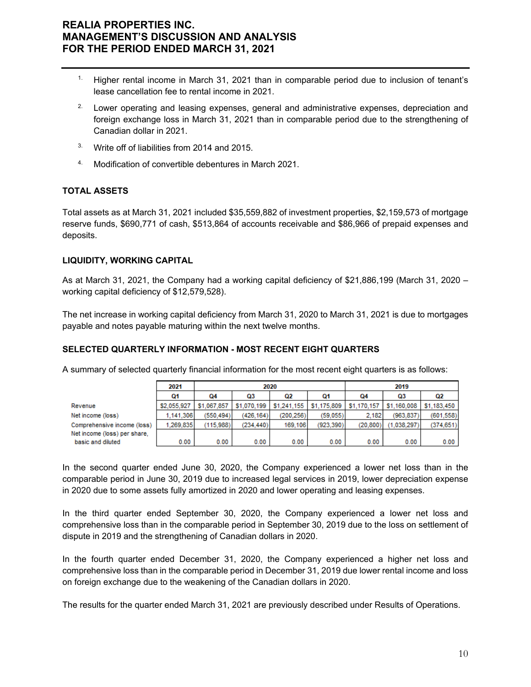- <sup>1.</sup> Higher rental income in March 31, 2021 than in comparable period due to inclusion of tenant's lease cancellation fee to rental income in 2021.
- <sup>2.</sup> Lower operating and leasing expenses, general and administrative expenses, depreciation and foreign exchange loss in March 31, 2021 than in comparable period due to the strengthening of Canadian dollar in 2021.
- <sup>3.</sup> Write off of liabilities from 2014 and 2015.
- 4. Modification of convertible debentures in March 2021.

#### **TOTAL ASSETS**

Total assets as at March 31, 2021 included \$35,559,882 of investment properties, \$2,159,573 of mortgage reserve funds, \$690,771 of cash, \$513,864 of accounts receivable and \$86,966 of prepaid expenses and deposits.

#### **LIQUIDITY, WORKING CAPITAL**

As at March 31, 2021, the Company had a working capital deficiency of \$21,886,199 (March 31, 2020 – working capital deficiency of \$12,579,528).

The net increase in working capital deficiency from March 31, 2020 to March 31, 2021 is due to mortgages payable and notes payable maturing within the next twelve months.

#### **SELECTED QUARTERLY INFORMATION - MOST RECENT EIGHT QUARTERS**

A summary of selected quarterly financial information for the most recent eight quarters is as follows:

|                              | 2021        |             |             | 2020        |             | 2019        |             |             |
|------------------------------|-------------|-------------|-------------|-------------|-------------|-------------|-------------|-------------|
|                              | Q1          | Q4          | Q3          | Q2          | Q1          | 04          | Q3          | Q2          |
| Revenue                      | \$2,055,927 | \$1,067,857 | \$1,070,199 | \$1,241,155 | \$1,175,809 | \$1,170,157 | \$1,160,008 | \$1,183,450 |
| Net income (loss)            | 1.141.306   | (550.494)   | (426.164)   | (200.256)   | (59.055)    | 2.182       | (963.837)   | (601, 558)  |
| Comprehensive income (loss)  | 1.269.835   | (115.988)   | (234.440)   | 169,106     | (923.390)   | (20, 800)   | (1.038.297) | (374.651)   |
| Net income (loss) per share, |             |             |             |             |             |             |             |             |
| basic and diluted            | 0.00        | 0.00        | 0.00        | 0.00        | 0.00        | 0.00        | 0.00        | 0.00        |

In the second quarter ended June 30, 2020, the Company experienced a lower net loss than in the comparable period in June 30, 2019 due to increased legal services in 2019, lower depreciation expense in 2020 due to some assets fully amortized in 2020 and lower operating and leasing expenses.

In the third quarter ended September 30, 2020, the Company experienced a lower net loss and comprehensive loss than in the comparable period in September 30, 2019 due to the loss on settlement of dispute in 2019 and the strengthening of Canadian dollars in 2020.

In the fourth quarter ended December 31, 2020, the Company experienced a higher net loss and comprehensive loss than in the comparable period in December 31, 2019 due lower rental income and loss on foreign exchange due to the weakening of the Canadian dollars in 2020.

The results for the quarter ended March 31, 2021 are previously described under Results of Operations.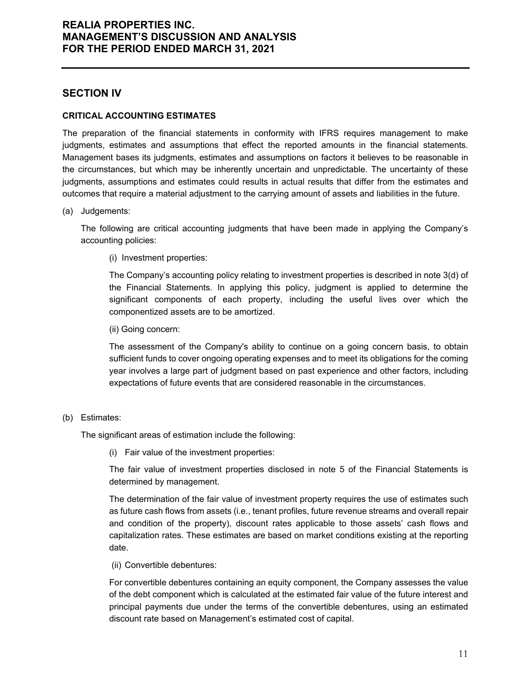### **SECTION IV**

#### **CRITICAL ACCOUNTING ESTIMATES**

The preparation of the financial statements in conformity with IFRS requires management to make judgments, estimates and assumptions that effect the reported amounts in the financial statements. Management bases its judgments, estimates and assumptions on factors it believes to be reasonable in the circumstances, but which may be inherently uncertain and unpredictable. The uncertainty of these judgments, assumptions and estimates could results in actual results that differ from the estimates and outcomes that require a material adjustment to the carrying amount of assets and liabilities in the future.

(a) Judgements:

The following are critical accounting judgments that have been made in applying the Company's accounting policies:

(i) Investment properties:

The Company's accounting policy relating to investment properties is described in note 3(d) of the Financial Statements. In applying this policy, judgment is applied to determine the significant components of each property, including the useful lives over which the componentized assets are to be amortized.

(ii) Going concern:

The assessment of the Company's ability to continue on a going concern basis, to obtain sufficient funds to cover ongoing operating expenses and to meet its obligations for the coming year involves a large part of judgment based on past experience and other factors, including expectations of future events that are considered reasonable in the circumstances.

#### (b) Estimates:

The significant areas of estimation include the following:

(i) Fair value of the investment properties:

The fair value of investment properties disclosed in note 5 of the Financial Statements is determined by management.

The determination of the fair value of investment property requires the use of estimates such as future cash flows from assets (i.e., tenant profiles, future revenue streams and overall repair and condition of the property), discount rates applicable to those assets' cash flows and capitalization rates. These estimates are based on market conditions existing at the reporting date.

(ii) Convertible debentures:

For convertible debentures containing an equity component, the Company assesses the value of the debt component which is calculated at the estimated fair value of the future interest and principal payments due under the terms of the convertible debentures, using an estimated discount rate based on Management's estimated cost of capital.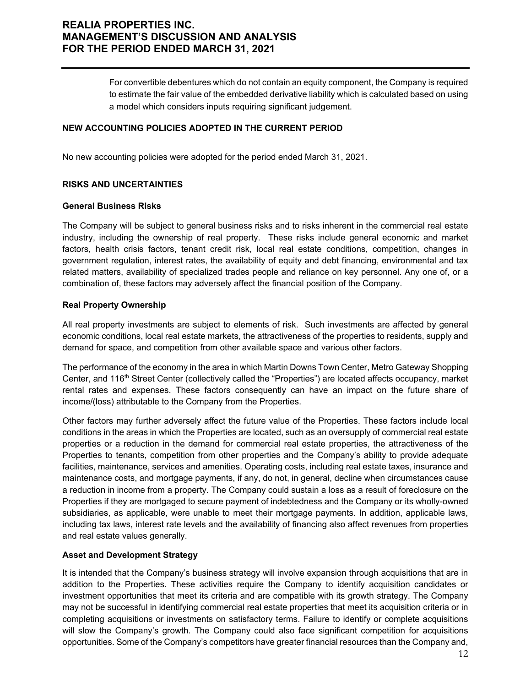For convertible debentures which do not contain an equity component, the Company is required to estimate the fair value of the embedded derivative liability which is calculated based on using a model which considers inputs requiring significant judgement.

#### **NEW ACCOUNTING POLICIES ADOPTED IN THE CURRENT PERIOD**

No new accounting policies were adopted for the period ended March 31, 2021.

#### **RISKS AND UNCERTAINTIES**

#### **General Business Risks**

The Company will be subject to general business risks and to risks inherent in the commercial real estate industry, including the ownership of real property. These risks include general economic and market factors, health crisis factors, tenant credit risk, local real estate conditions, competition, changes in government regulation, interest rates, the availability of equity and debt financing, environmental and tax related matters, availability of specialized trades people and reliance on key personnel. Any one of, or a combination of, these factors may adversely affect the financial position of the Company.

#### **Real Property Ownership**

All real property investments are subject to elements of risk. Such investments are affected by general economic conditions, local real estate markets, the attractiveness of the properties to residents, supply and demand for space, and competition from other available space and various other factors.

The performance of the economy in the area in which Martin Downs Town Center, Metro Gateway Shopping Center, and 116<sup>th</sup> Street Center (collectively called the "Properties") are located affects occupancy, market rental rates and expenses. These factors consequently can have an impact on the future share of income/(loss) attributable to the Company from the Properties.

Other factors may further adversely affect the future value of the Properties. These factors include local conditions in the areas in which the Properties are located, such as an oversupply of commercial real estate properties or a reduction in the demand for commercial real estate properties, the attractiveness of the Properties to tenants, competition from other properties and the Company's ability to provide adequate facilities, maintenance, services and amenities. Operating costs, including real estate taxes, insurance and maintenance costs, and mortgage payments, if any, do not, in general, decline when circumstances cause a reduction in income from a property. The Company could sustain a loss as a result of foreclosure on the Properties if they are mortgaged to secure payment of indebtedness and the Company or its wholly-owned subsidiaries, as applicable, were unable to meet their mortgage payments. In addition, applicable laws, including tax laws, interest rate levels and the availability of financing also affect revenues from properties and real estate values generally.

#### **Asset and Development Strategy**

It is intended that the Company's business strategy will involve expansion through acquisitions that are in addition to the Properties. These activities require the Company to identify acquisition candidates or investment opportunities that meet its criteria and are compatible with its growth strategy. The Company may not be successful in identifying commercial real estate properties that meet its acquisition criteria or in completing acquisitions or investments on satisfactory terms. Failure to identify or complete acquisitions will slow the Company's growth. The Company could also face significant competition for acquisitions opportunities. Some of the Company's competitors have greater financial resources than the Company and,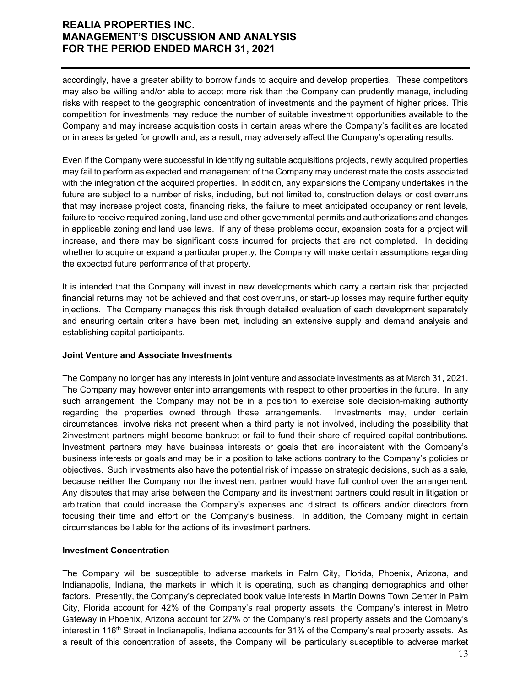accordingly, have a greater ability to borrow funds to acquire and develop properties. These competitors may also be willing and/or able to accept more risk than the Company can prudently manage, including risks with respect to the geographic concentration of investments and the payment of higher prices. This competition for investments may reduce the number of suitable investment opportunities available to the Company and may increase acquisition costs in certain areas where the Company's facilities are located or in areas targeted for growth and, as a result, may adversely affect the Company's operating results.

Even if the Company were successful in identifying suitable acquisitions projects, newly acquired properties may fail to perform as expected and management of the Company may underestimate the costs associated with the integration of the acquired properties. In addition, any expansions the Company undertakes in the future are subject to a number of risks, including, but not limited to, construction delays or cost overruns that may increase project costs, financing risks, the failure to meet anticipated occupancy or rent levels, failure to receive required zoning, land use and other governmental permits and authorizations and changes in applicable zoning and land use laws. If any of these problems occur, expansion costs for a project will increase, and there may be significant costs incurred for projects that are not completed. In deciding whether to acquire or expand a particular property, the Company will make certain assumptions regarding the expected future performance of that property.

It is intended that the Company will invest in new developments which carry a certain risk that projected financial returns may not be achieved and that cost overruns, or start-up losses may require further equity injections. The Company manages this risk through detailed evaluation of each development separately and ensuring certain criteria have been met, including an extensive supply and demand analysis and establishing capital participants.

#### **Joint Venture and Associate Investments**

The Company no longer has any interests in joint venture and associate investments as at March 31, 2021. The Company may however enter into arrangements with respect to other properties in the future. In any such arrangement, the Company may not be in a position to exercise sole decision-making authority regarding the properties owned through these arrangements. Investments may, under certain circumstances, involve risks not present when a third party is not involved, including the possibility that 2investment partners might become bankrupt or fail to fund their share of required capital contributions. Investment partners may have business interests or goals that are inconsistent with the Company's business interests or goals and may be in a position to take actions contrary to the Company's policies or objectives. Such investments also have the potential risk of impasse on strategic decisions, such as a sale, because neither the Company nor the investment partner would have full control over the arrangement. Any disputes that may arise between the Company and its investment partners could result in litigation or arbitration that could increase the Company's expenses and distract its officers and/or directors from focusing their time and effort on the Company's business. In addition, the Company might in certain circumstances be liable for the actions of its investment partners.

#### **Investment Concentration**

The Company will be susceptible to adverse markets in Palm City, Florida, Phoenix, Arizona, and Indianapolis, Indiana, the markets in which it is operating, such as changing demographics and other factors. Presently, the Company's depreciated book value interests in Martin Downs Town Center in Palm City, Florida account for 42% of the Company's real property assets, the Company's interest in Metro Gateway in Phoenix, Arizona account for 27% of the Company's real property assets and the Company's interest in 116<sup>th</sup> Street in Indianapolis, Indiana accounts for 31% of the Company's real property assets. As a result of this concentration of assets, the Company will be particularly susceptible to adverse market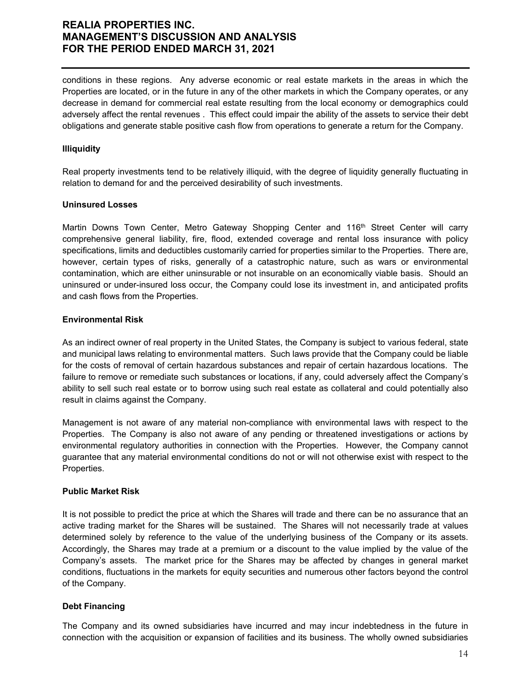conditions in these regions. Any adverse economic or real estate markets in the areas in which the Properties are located, or in the future in any of the other markets in which the Company operates, or any decrease in demand for commercial real estate resulting from the local economy or demographics could adversely affect the rental revenues . This effect could impair the ability of the assets to service their debt obligations and generate stable positive cash flow from operations to generate a return for the Company.

#### **Illiquidity**

Real property investments tend to be relatively illiquid, with the degree of liquidity generally fluctuating in relation to demand for and the perceived desirability of such investments.

#### **Uninsured Losses**

Martin Downs Town Center, Metro Gateway Shopping Center and 116<sup>th</sup> Street Center will carry comprehensive general liability, fire, flood, extended coverage and rental loss insurance with policy specifications, limits and deductibles customarily carried for properties similar to the Properties. There are, however, certain types of risks, generally of a catastrophic nature, such as wars or environmental contamination, which are either uninsurable or not insurable on an economically viable basis. Should an uninsured or under-insured loss occur, the Company could lose its investment in, and anticipated profits and cash flows from the Properties.

#### **Environmental Risk**

As an indirect owner of real property in the United States, the Company is subject to various federal, state and municipal laws relating to environmental matters. Such laws provide that the Company could be liable for the costs of removal of certain hazardous substances and repair of certain hazardous locations. The failure to remove or remediate such substances or locations, if any, could adversely affect the Company's ability to sell such real estate or to borrow using such real estate as collateral and could potentially also result in claims against the Company.

Management is not aware of any material non-compliance with environmental laws with respect to the Properties. The Company is also not aware of any pending or threatened investigations or actions by environmental regulatory authorities in connection with the Properties. However, the Company cannot guarantee that any material environmental conditions do not or will not otherwise exist with respect to the Properties.

#### **Public Market Risk**

It is not possible to predict the price at which the Shares will trade and there can be no assurance that an active trading market for the Shares will be sustained. The Shares will not necessarily trade at values determined solely by reference to the value of the underlying business of the Company or its assets. Accordingly, the Shares may trade at a premium or a discount to the value implied by the value of the Company's assets. The market price for the Shares may be affected by changes in general market conditions, fluctuations in the markets for equity securities and numerous other factors beyond the control of the Company.

#### **Debt Financing**

The Company and its owned subsidiaries have incurred and may incur indebtedness in the future in connection with the acquisition or expansion of facilities and its business. The wholly owned subsidiaries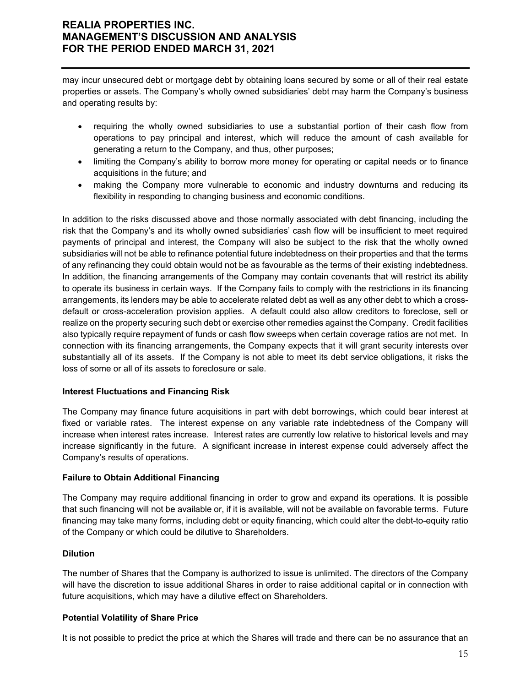may incur unsecured debt or mortgage debt by obtaining loans secured by some or all of their real estate properties or assets. The Company's wholly owned subsidiaries' debt may harm the Company's business and operating results by:

- requiring the wholly owned subsidiaries to use a substantial portion of their cash flow from operations to pay principal and interest, which will reduce the amount of cash available for generating a return to the Company, and thus, other purposes;
- limiting the Company's ability to borrow more money for operating or capital needs or to finance acquisitions in the future; and
- making the Company more vulnerable to economic and industry downturns and reducing its flexibility in responding to changing business and economic conditions.

In addition to the risks discussed above and those normally associated with debt financing, including the risk that the Company's and its wholly owned subsidiaries' cash flow will be insufficient to meet required payments of principal and interest, the Company will also be subject to the risk that the wholly owned subsidiaries will not be able to refinance potential future indebtedness on their properties and that the terms of any refinancing they could obtain would not be as favourable as the terms of their existing indebtedness. In addition, the financing arrangements of the Company may contain covenants that will restrict its ability to operate its business in certain ways. If the Company fails to comply with the restrictions in its financing arrangements, its lenders may be able to accelerate related debt as well as any other debt to which a crossdefault or cross-acceleration provision applies. A default could also allow creditors to foreclose, sell or realize on the property securing such debt or exercise other remedies against the Company. Credit facilities also typically require repayment of funds or cash flow sweeps when certain coverage ratios are not met. In connection with its financing arrangements, the Company expects that it will grant security interests over substantially all of its assets. If the Company is not able to meet its debt service obligations, it risks the loss of some or all of its assets to foreclosure or sale.

#### **Interest Fluctuations and Financing Risk**

The Company may finance future acquisitions in part with debt borrowings, which could bear interest at fixed or variable rates. The interest expense on any variable rate indebtedness of the Company will increase when interest rates increase. Interest rates are currently low relative to historical levels and may increase significantly in the future. A significant increase in interest expense could adversely affect the Company's results of operations.

#### **Failure to Obtain Additional Financing**

The Company may require additional financing in order to grow and expand its operations. It is possible that such financing will not be available or, if it is available, will not be available on favorable terms. Future financing may take many forms, including debt or equity financing, which could alter the debt-to-equity ratio of the Company or which could be dilutive to Shareholders.

### **Dilution**

The number of Shares that the Company is authorized to issue is unlimited. The directors of the Company will have the discretion to issue additional Shares in order to raise additional capital or in connection with future acquisitions, which may have a dilutive effect on Shareholders.

### **Potential Volatility of Share Price**

It is not possible to predict the price at which the Shares will trade and there can be no assurance that an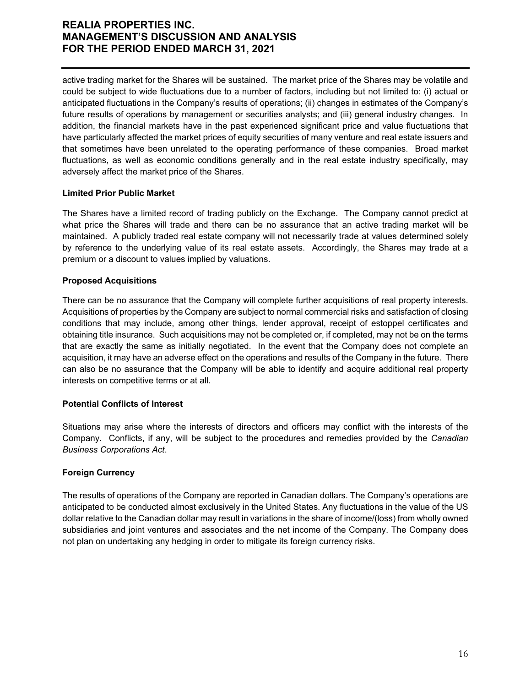active trading market for the Shares will be sustained. The market price of the Shares may be volatile and could be subject to wide fluctuations due to a number of factors, including but not limited to: (i) actual or anticipated fluctuations in the Company's results of operations; (ii) changes in estimates of the Company's future results of operations by management or securities analysts; and (iii) general industry changes. In addition, the financial markets have in the past experienced significant price and value fluctuations that have particularly affected the market prices of equity securities of many venture and real estate issuers and that sometimes have been unrelated to the operating performance of these companies. Broad market fluctuations, as well as economic conditions generally and in the real estate industry specifically, may adversely affect the market price of the Shares.

#### **Limited Prior Public Market**

The Shares have a limited record of trading publicly on the Exchange. The Company cannot predict at what price the Shares will trade and there can be no assurance that an active trading market will be maintained. A publicly traded real estate company will not necessarily trade at values determined solely by reference to the underlying value of its real estate assets. Accordingly, the Shares may trade at a premium or a discount to values implied by valuations.

### **Proposed Acquisitions**

There can be no assurance that the Company will complete further acquisitions of real property interests. Acquisitions of properties by the Company are subject to normal commercial risks and satisfaction of closing conditions that may include, among other things, lender approval, receipt of estoppel certificates and obtaining title insurance. Such acquisitions may not be completed or, if completed, may not be on the terms that are exactly the same as initially negotiated. In the event that the Company does not complete an acquisition, it may have an adverse effect on the operations and results of the Company in the future. There can also be no assurance that the Company will be able to identify and acquire additional real property interests on competitive terms or at all.

#### **Potential Conflicts of Interest**

Situations may arise where the interests of directors and officers may conflict with the interests of the Company. Conflicts, if any, will be subject to the procedures and remedies provided by the *Canadian Business Corporations Act*.

### **Foreign Currency**

The results of operations of the Company are reported in Canadian dollars. The Company's operations are anticipated to be conducted almost exclusively in the United States. Any fluctuations in the value of the US dollar relative to the Canadian dollar may result in variations in the share of income/(loss) from wholly owned subsidiaries and joint ventures and associates and the net income of the Company. The Company does not plan on undertaking any hedging in order to mitigate its foreign currency risks.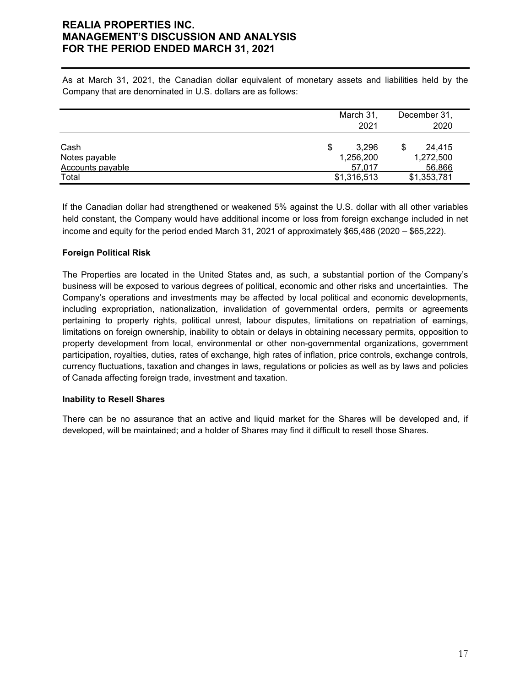As at March 31, 2021, the Canadian dollar equivalent of monetary assets and liabilities held by the Company that are denominated in U.S. dollars are as follows:

|                  | March 31,   | December 31, |
|------------------|-------------|--------------|
|                  | 2021        | 2020         |
|                  |             |              |
| Cash             | 3.296<br>\$ | 24.415       |
| Notes payable    | 1,256,200   | 1,272,500    |
| Accounts payable | 57.017      | 56,866       |
| Total            | \$1,316,513 | \$1,353,781  |

If the Canadian dollar had strengthened or weakened 5% against the U.S. dollar with all other variables held constant, the Company would have additional income or loss from foreign exchange included in net income and equity for the period ended March 31, 2021 of approximately \$65,486 (2020 – \$65,222).

#### **Foreign Political Risk**

The Properties are located in the United States and, as such, a substantial portion of the Company's business will be exposed to various degrees of political, economic and other risks and uncertainties. The Company's operations and investments may be affected by local political and economic developments, including expropriation, nationalization, invalidation of governmental orders, permits or agreements pertaining to property rights, political unrest, labour disputes, limitations on repatriation of earnings, limitations on foreign ownership, inability to obtain or delays in obtaining necessary permits, opposition to property development from local, environmental or other non-governmental organizations, government participation, royalties, duties, rates of exchange, high rates of inflation, price controls, exchange controls, currency fluctuations, taxation and changes in laws, regulations or policies as well as by laws and policies of Canada affecting foreign trade, investment and taxation.

#### **Inability to Resell Shares**

There can be no assurance that an active and liquid market for the Shares will be developed and, if developed, will be maintained; and a holder of Shares may find it difficult to resell those Shares.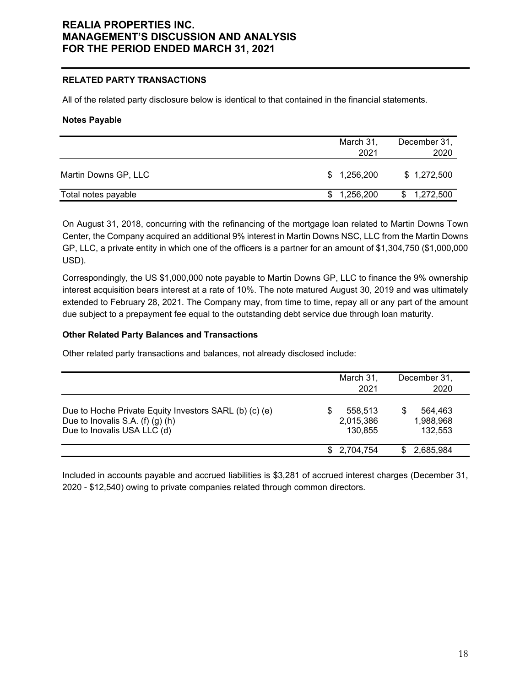#### **RELATED PARTY TRANSACTIONS**

All of the related party disclosure below is identical to that contained in the financial statements.

#### **Notes Payable**

|                      | March 31,<br>2021 | December 31,<br>2020 |
|----------------------|-------------------|----------------------|
| Martin Downs GP, LLC | \$1,256,200       | \$1,272,500          |
| Total notes payable  | \$1,256,200       | \$1,272,500          |

On August 31, 2018, concurring with the refinancing of the mortgage loan related to Martin Downs Town Center, the Company acquired an additional 9% interest in Martin Downs NSC, LLC from the Martin Downs GP, LLC, a private entity in which one of the officers is a partner for an amount of \$1,304,750 (\$1,000,000 USD).

Correspondingly, the US \$1,000,000 note payable to Martin Downs GP, LLC to finance the 9% ownership interest acquisition bears interest at a rate of 10%. The note matured August 30, 2019 and was ultimately extended to February 28, 2021. The Company may, from time to time, repay all or any part of the amount due subject to a prepayment fee equal to the outstanding debt service due through loan maturity.

#### **Other Related Party Balances and Transactions**

Other related party transactions and balances, not already disclosed include:

|                                                                                                                                 | March 31,<br>2021               | December 31,<br>2020            |
|---------------------------------------------------------------------------------------------------------------------------------|---------------------------------|---------------------------------|
| Due to Hoche Private Equity Investors SARL (b) (c) (e)<br>Due to Inovalis S.A. $(f)$ $(g)$ $(h)$<br>Due to Inovalis USA LLC (d) | 558.513<br>2,015,386<br>130.855 | 564.463<br>1,988,968<br>132,553 |
|                                                                                                                                 | 2,704,754                       | 2,685,984                       |

Included in accounts payable and accrued liabilities is \$3,281 of accrued interest charges (December 31, 2020 - \$12,540) owing to private companies related through common directors.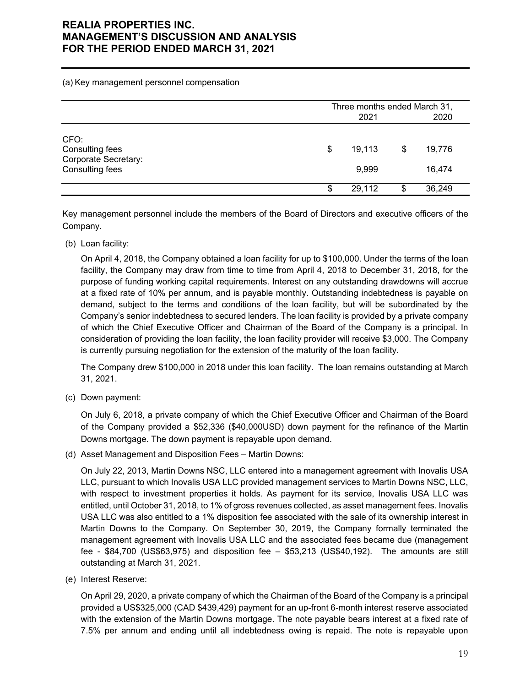(a) Key management personnel compensation

|                                                                    |   | Three months ended March 31,<br>2020<br>2021 |    |                  |  |
|--------------------------------------------------------------------|---|----------------------------------------------|----|------------------|--|
| CFO:<br>Consulting fees<br>Corporate Secretary:<br>Consulting fees | S | 19.113<br>9,999                              | \$ | 19,776<br>16,474 |  |
|                                                                    |   | 29,112                                       | S  | 36,249           |  |

Key management personnel include the members of the Board of Directors and executive officers of the Company.

(b) Loan facility:

On April 4, 2018, the Company obtained a loan facility for up to \$100,000. Under the terms of the loan facility, the Company may draw from time to time from April 4, 2018 to December 31, 2018, for the purpose of funding working capital requirements. Interest on any outstanding drawdowns will accrue at a fixed rate of 10% per annum, and is payable monthly. Outstanding indebtedness is payable on demand, subject to the terms and conditions of the loan facility, but will be subordinated by the Company's senior indebtedness to secured lenders. The loan facility is provided by a private company of which the Chief Executive Officer and Chairman of the Board of the Company is a principal. In consideration of providing the loan facility, the loan facility provider will receive \$3,000. The Company is currently pursuing negotiation for the extension of the maturity of the loan facility.

The Company drew \$100,000 in 2018 under this loan facility. The loan remains outstanding at March 31, 2021.

(c) Down payment:

On July 6, 2018, a private company of which the Chief Executive Officer and Chairman of the Board of the Company provided a \$52,336 (\$40,000USD) down payment for the refinance of the Martin Downs mortgage. The down payment is repayable upon demand.

(d) Asset Management and Disposition Fees – Martin Downs:

On July 22, 2013, Martin Downs NSC, LLC entered into a management agreement with Inovalis USA LLC, pursuant to which Inovalis USA LLC provided management services to Martin Downs NSC, LLC, with respect to investment properties it holds. As payment for its service, Inovalis USA LLC was entitled, until October 31, 2018, to 1% of gross revenues collected, as asset management fees. Inovalis USA LLC was also entitled to a 1% disposition fee associated with the sale of its ownership interest in Martin Downs to the Company. On September 30, 2019, the Company formally terminated the management agreement with Inovalis USA LLC and the associated fees became due (management fee - \$84,700 (US\$63,975) and disposition fee – \$53,213 (US\$40,192). The amounts are still outstanding at March 31, 2021.

(e) Interest Reserve:

On April 29, 2020, a private company of which the Chairman of the Board of the Company is a principal provided a US\$325,000 (CAD \$439,429) payment for an up-front 6-month interest reserve associated with the extension of the Martin Downs mortgage. The note payable bears interest at a fixed rate of 7.5% per annum and ending until all indebtedness owing is repaid. The note is repayable upon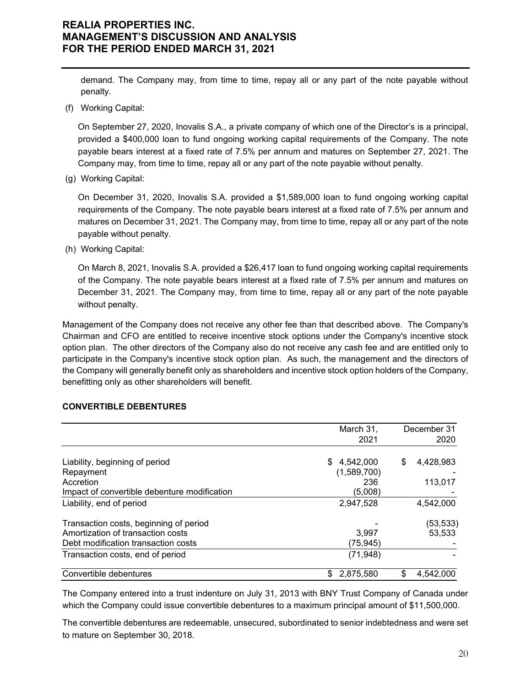demand. The Company may, from time to time, repay all or any part of the note payable without penalty.

(f) Working Capital:

On September 27, 2020, Inovalis S.A., a private company of which one of the Director's is a principal, provided a \$400,000 loan to fund ongoing working capital requirements of the Company. The note payable bears interest at a fixed rate of 7.5% per annum and matures on September 27, 2021. The Company may, from time to time, repay all or any part of the note payable without penalty.

(g) Working Capital:

On December 31, 2020, Inovalis S.A. provided a \$1,589,000 loan to fund ongoing working capital requirements of the Company. The note payable bears interest at a fixed rate of 7.5% per annum and matures on December 31, 2021. The Company may, from time to time, repay all or any part of the note payable without penalty.

(h) Working Capital:

On March 8, 2021, Inovalis S.A. provided a \$26,417 loan to fund ongoing working capital requirements of the Company. The note payable bears interest at a fixed rate of 7.5% per annum and matures on December 31, 2021. The Company may, from time to time, repay all or any part of the note payable without penalty.

Management of the Company does not receive any other fee than that described above. The Company's Chairman and CFO are entitled to receive incentive stock options under the Company's incentive stock option plan. The other directors of the Company also do not receive any cash fee and are entitled only to participate in the Company's incentive stock option plan. As such, the management and the directors of the Company will generally benefit only as shareholders and incentive stock option holders of the Company, benefitting only as other shareholders will benefit.

#### **CONVERTIBLE DEBENTURES**

|                                              | March 31,       | December 31<br>2020 |           |
|----------------------------------------------|-----------------|---------------------|-----------|
|                                              | 2021            |                     |           |
| Liability, beginning of period               | \$<br>4,542,000 | \$                  | 4,428,983 |
| Repayment                                    | (1,589,700)     |                     |           |
| Accretion                                    | 236             |                     | 113,017   |
| Impact of convertible debenture modification | (5,008)         |                     |           |
| Liability, end of period                     | 2,947,528       |                     | 4,542,000 |
| Transaction costs, beginning of period       |                 |                     | (53,533)  |
| Amortization of transaction costs            | 3.997           |                     | 53.533    |
| Debt modification transaction costs          | (75, 945)       |                     |           |
| Transaction costs, end of period             | (71, 948)       |                     |           |
| Convertible debentures                       | 2,875,580<br>\$ | S                   | 4,542,000 |

The Company entered into a trust indenture on July 31, 2013 with BNY Trust Company of Canada under which the Company could issue convertible debentures to a maximum principal amount of \$11,500,000.

The convertible debentures are redeemable, unsecured, subordinated to senior indebtedness and were set to mature on September 30, 2018.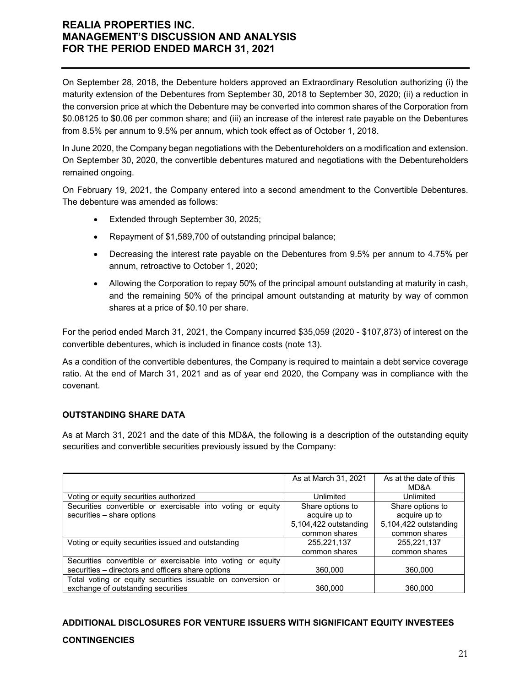On September 28, 2018, the Debenture holders approved an Extraordinary Resolution authorizing (i) the maturity extension of the Debentures from September 30, 2018 to September 30, 2020; (ii) a reduction in the conversion price at which the Debenture may be converted into common shares of the Corporation from \$0.08125 to \$0.06 per common share; and (iii) an increase of the interest rate payable on the Debentures from 8.5% per annum to 9.5% per annum, which took effect as of October 1, 2018.

In June 2020, the Company began negotiations with the Debentureholders on a modification and extension. On September 30, 2020, the convertible debentures matured and negotiations with the Debentureholders remained ongoing.

On February 19, 2021, the Company entered into a second amendment to the Convertible Debentures. The debenture was amended as follows:

- **Extended through September 30, 2025;**
- Repayment of \$1,589,700 of outstanding principal balance;
- Decreasing the interest rate payable on the Debentures from 9.5% per annum to 4.75% per annum, retroactive to October 1, 2020;
- Allowing the Corporation to repay 50% of the principal amount outstanding at maturity in cash, and the remaining 50% of the principal amount outstanding at maturity by way of common shares at a price of \$0.10 per share.

For the period ended March 31, 2021, the Company incurred \$35,059 (2020 - \$107,873) of interest on the convertible debentures, which is included in finance costs (note 13).

As a condition of the convertible debentures, the Company is required to maintain a debt service coverage ratio. At the end of March 31, 2021 and as of year end 2020, the Company was in compliance with the covenant.

### **OUTSTANDING SHARE DATA**

As at March 31, 2021 and the date of this MD&A, the following is a description of the outstanding equity securities and convertible securities previously issued by the Company:

|                                                             | As at March 31, 2021  | As at the date of this<br>MD&A |
|-------------------------------------------------------------|-----------------------|--------------------------------|
| Voting or equity securities authorized                      | Unlimited             | Unlimited                      |
| Securities convertible or exercisable into voting or equity | Share options to      | Share options to               |
| securities - share options                                  | acquire up to         | acquire up to                  |
|                                                             | 5,104,422 outstanding | 5,104,422 outstanding          |
|                                                             | common shares         | common shares                  |
| Voting or equity securities issued and outstanding          | 255,221,137           | 255,221,137                    |
|                                                             | common shares         | common shares                  |
| Securities convertible or exercisable into voting or equity |                       |                                |
| securities - directors and officers share options           | 360,000               | 360,000                        |
| Total voting or equity securities issuable on conversion or |                       |                                |
| exchange of outstanding securities                          | 360,000               | 360,000                        |

# **ADDITIONAL DISCLOSURES FOR VENTURE ISSUERS WITH SIGNIFICANT EQUITY INVESTEES CONTINGENCIES**